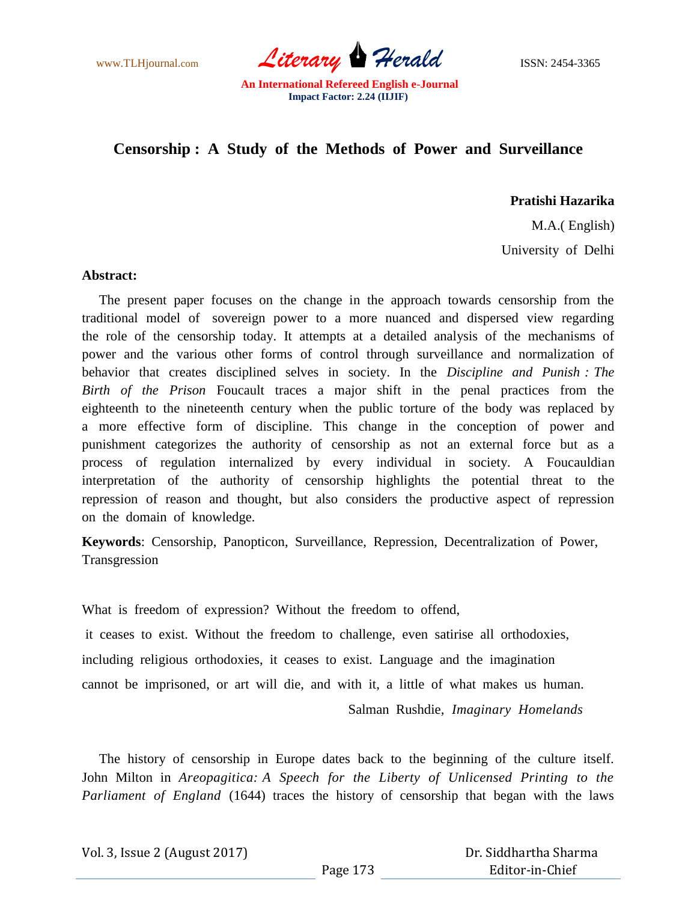www.TLHjournal.com *Literary* **Herald ISSN:** 2454-3365

## **Censorship : A Study of the Methods of Power and Surveillance**

**Pratishi Hazarika**

 M.A.( English) University of Delhi

## **Abstract:**

 The present paper focuses on the change in the approach towards censorship from the traditional model of sovereign power to a more nuanced and dispersed view regarding the role of the censorship today. It attempts at a detailed analysis of the mechanisms of power and the various other forms of control through surveillance and normalization of behavior that creates disciplined selves in society. In the *Discipline and Punish : The Birth of the Prison* Foucault traces a major shift in the penal practices from the eighteenth to the nineteenth century when the public torture of the body was replaced by a more effective form of discipline. This change in the conception of power and punishment categorizes the authority of censorship as not an external force but as a process of regulation internalized by every individual in society. A Foucauldian interpretation of the authority of censorship highlights the potential threat to the repression of reason and thought, but also considers the productive aspect of repression on the domain of knowledge.

**Keywords**: Censorship, Panopticon, Surveillance, Repression, Decentralization of Power, Transgression

What is freedom of expression? Without the freedom to offend, it ceases to exist. Without the freedom to challenge, even satirise all orthodoxies, including religious orthodoxies, it ceases to exist. Language and the imagination cannot be imprisoned, or art will die, and with it, a little of what makes us human. Salman Rushdie*, Imaginary Homelands*

 The history of censorship in Europe dates back to the beginning of the culture itself. John Milton in *Areopagitica: A Speech for the Liberty of Unlicensed Printing to the Parliament of England* (1644) traces the history of censorship that began with the laws

Vol. 3, Issue 2 (August 2017)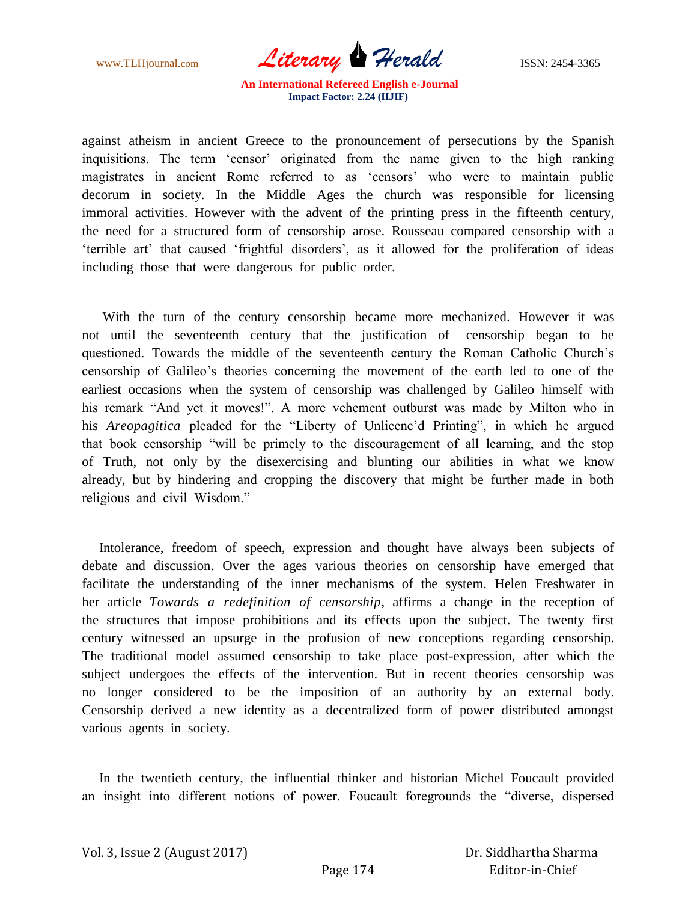www.TLHjournal.com *Literary* **Herald ISSN:** 2454-3365

against atheism in ancient Greece to the pronouncement of persecutions by the Spanish inquisitions. The term "censor" originated from the name given to the high ranking magistrates in ancient Rome referred to as "censors" who were to maintain public decorum in society. In the Middle Ages the church was responsible for licensing immoral activities. However with the advent of the printing press in the fifteenth century, the need for a structured form of censorship arose. Rousseau compared censorship with a "terrible art" that caused "frightful disorders", as it allowed for the proliferation of ideas including those that were dangerous for public order.

 With the turn of the century censorship became more mechanized. However it was not until the seventeenth century that the justification of censorship began to be questioned. Towards the middle of the seventeenth century the Roman Catholic Church"s censorship of Galileo"s theories concerning the movement of the earth led to one of the earliest occasions when the system of censorship was challenged by Galileo himself with his remark "And yet it moves!". A more vehement outburst was made by Milton who in his *Areopagitica* pleaded for the "Liberty of Unlicenc"d Printing", in which he argued that book censorship "will be primely to the discouragement of all learning, and the stop of Truth, not only by the disexercising and blunting our abilities in what we know already, but by hindering and cropping the discovery that might be further made in both religious and civil Wisdom."

 Intolerance, freedom of speech, expression and thought have always been subjects of debate and discussion. Over the ages various theories on censorship have emerged that facilitate the understanding of the inner mechanisms of the system. Helen Freshwater in her article *Towards a redefinition of censorship*, affirms a change in the reception of the structures that impose prohibitions and its effects upon the subject. The twenty first century witnessed an upsurge in the profusion of new conceptions regarding censorship. The traditional model assumed censorship to take place post-expression, after which the subject undergoes the effects of the intervention. But in recent theories censorship was no longer considered to be the imposition of an authority by an external body. Censorship derived a new identity as a decentralized form of power distributed amongst various agents in society.

 In the twentieth century, the influential thinker and historian Michel Foucault provided an insight into different notions of power. Foucault foregrounds the "diverse, dispersed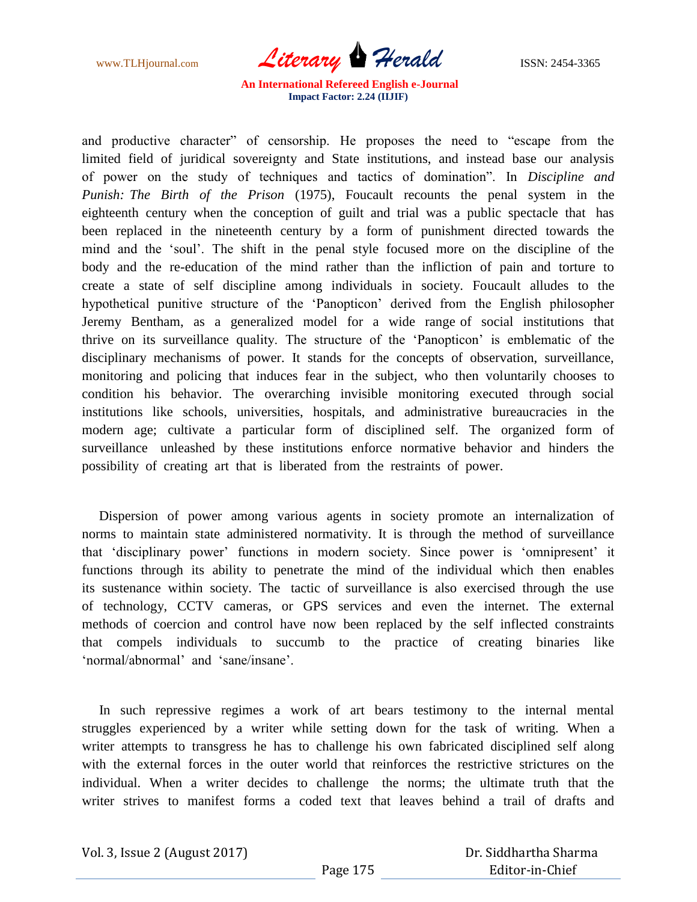www.TLHjournal.com *Literary* **Herald ISSN:** 2454-3365

and productive character" of censorship. He proposes the need to "escape from the limited field of juridical sovereignty and State institutions, and instead base our analysis of power on the study of techniques and tactics of domination". In *Discipline and Punish: The Birth of the Prison* (1975), Foucault recounts the penal system in the eighteenth century when the conception of guilt and trial was a public spectacle that has been replaced in the nineteenth century by a form of punishment directed towards the mind and the "soul". The shift in the penal style focused more on the discipline of the body and the re-education of the mind rather than the infliction of pain and torture to create a state of self discipline among individuals in society. Foucault alludes to the hypothetical punitive structure of the "Panopticon" derived from the English philosopher Jeremy Bentham, as a generalized model for a wide range of social institutions that thrive on its surveillance quality. The structure of the "Panopticon" is emblematic of the disciplinary mechanisms of power. It stands for the concepts of observation, surveillance, monitoring and policing that induces fear in the subject, who then voluntarily chooses to condition his behavior. The overarching invisible monitoring executed through social institutions like schools, universities, hospitals, and administrative bureaucracies in the modern age; cultivate a particular form of disciplined self. The organized form of surveillance unleashed by these institutions enforce normative behavior and hinders the possibility of creating art that is liberated from the restraints of power.

 Dispersion of power among various agents in society promote an internalization of norms to maintain state administered normativity. It is through the method of surveillance that "disciplinary power" functions in modern society. Since power is "omnipresent" it functions through its ability to penetrate the mind of the individual which then enables its sustenance within society. The tactic of surveillance is also exercised through the use of technology, CCTV cameras, or GPS services and even the internet. The external methods of coercion and control have now been replaced by the self inflected constraints that compels individuals to succumb to the practice of creating binaries like "normal/abnormal" and "sane/insane".

 In such repressive regimes a work of art bears testimony to the internal mental struggles experienced by a writer while setting down for the task of writing. When a writer attempts to transgress he has to challenge his own fabricated disciplined self along with the external forces in the outer world that reinforces the restrictive strictures on the individual. When a writer decides to challenge the norms; the ultimate truth that the writer strives to manifest forms a coded text that leaves behind a trail of drafts and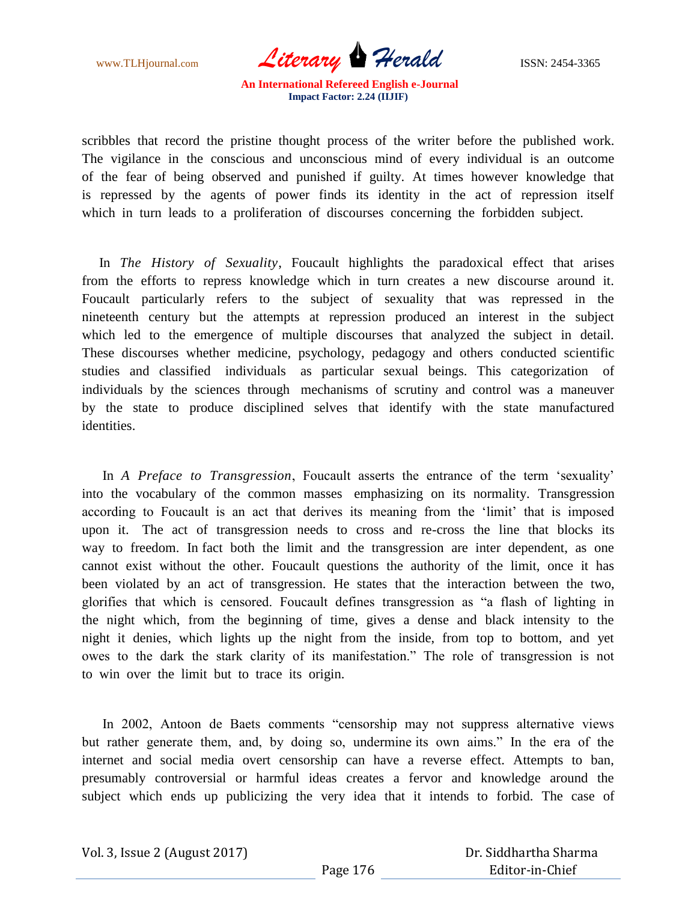www.TLHjournal.com *Literary Herald* ISSN: 2454-3365

scribbles that record the pristine thought process of the writer before the published work. The vigilance in the conscious and unconscious mind of every individual is an outcome of the fear of being observed and punished if guilty. At times however knowledge that is repressed by the agents of power finds its identity in the act of repression itself which in turn leads to a proliferation of discourses concerning the forbidden subject.

 In *The History of Sexuality*, Foucault highlights the paradoxical effect that arises from the efforts to repress knowledge which in turn creates a new discourse around it. Foucault particularly refers to the subject of sexuality that was repressed in the nineteenth century but the attempts at repression produced an interest in the subject which led to the emergence of multiple discourses that analyzed the subject in detail. These discourses whether medicine, psychology, pedagogy and others conducted scientific studies and classified individuals as particular sexual beings. This categorization of individuals by the sciences through mechanisms of scrutiny and control was a maneuver by the state to produce disciplined selves that identify with the state manufactured identities.

 In *A Preface to Transgression*, Foucault asserts the entrance of the term "sexuality" into the vocabulary of the common masses emphasizing on its normality. Transgression according to Foucault is an act that derives its meaning from the "limit" that is imposed upon it. The act of transgression needs to cross and re-cross the line that blocks its way to freedom. In fact both the limit and the transgression are inter dependent, as one cannot exist without the other. Foucault questions the authority of the limit, once it has been violated by an act of transgression. He states that the interaction between the two, glorifies that which is censored. Foucault defines transgression as "a flash of lighting in the night which, from the beginning of time, gives a dense and black intensity to the night it denies, which lights up the night from the inside, from top to bottom, and yet owes to the dark the stark clarity of its manifestation." The role of transgression is not to win over the limit but to trace its origin.

 In 2002, Antoon de Baets comments "censorship may not suppress alternative views but rather generate them, and, by doing so, undermine its own aims." In the era of the internet and social media overt censorship can have a reverse effect. Attempts to ban, presumably controversial or harmful ideas creates a fervor and knowledge around the subject which ends up publicizing the very idea that it intends to forbid. The case of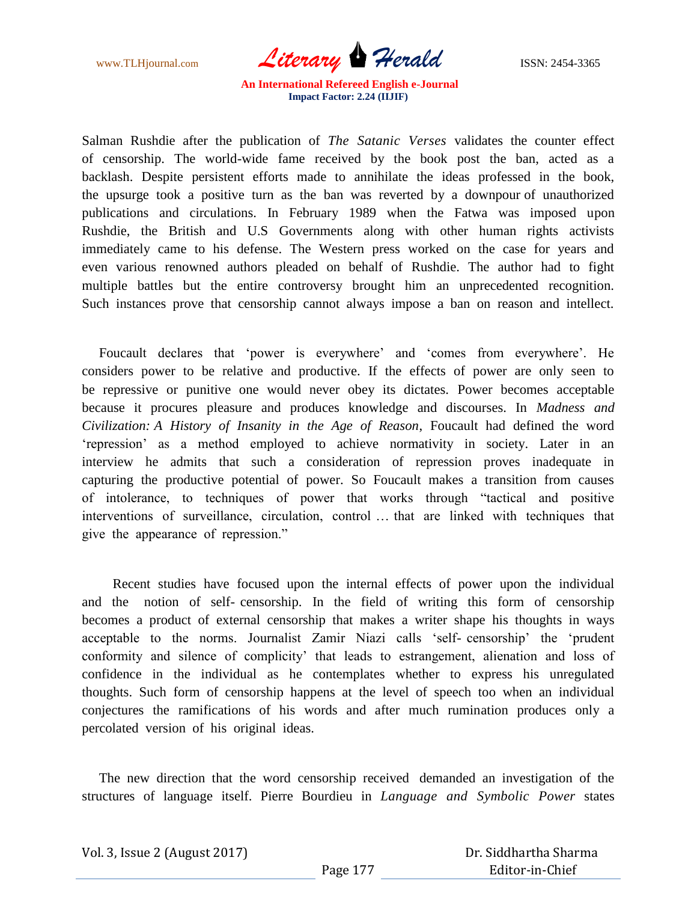www.TLHjournal.com *Literary Herald* ISSN: 2454-3365

Salman Rushdie after the publication of *The Satanic Verses* validates the counter effect of censorship. The world-wide fame received by the book post the ban, acted as a backlash. Despite persistent efforts made to annihilate the ideas professed in the book, the upsurge took a positive turn as the ban was reverted by a downpour of unauthorized publications and circulations. In February 1989 when the Fatwa was imposed upon Rushdie, the British and U.S Governments along with other human rights activists immediately came to his defense. The Western press worked on the case for years and even various renowned authors pleaded on behalf of Rushdie. The author had to fight multiple battles but the entire controversy brought him an unprecedented recognition. Such instances prove that censorship cannot always impose a ban on reason and intellect.

Foucault declares that 'power is everywhere' and 'comes from everywhere'. He considers power to be relative and productive. If the effects of power are only seen to be repressive or punitive one would never obey its dictates. Power becomes acceptable because it procures pleasure and produces knowledge and discourses. In *Madness and Civilization: A History of Insanity in the Age of Reason*, Foucault had defined the word "repression" as a method employed to achieve normativity in society. Later in an interview he admits that such a consideration of repression proves inadequate in capturing the productive potential of power. So Foucault makes a transition from causes of intolerance, to techniques of power that works through "tactical and positive interventions of surveillance, circulation, control … that are linked with techniques that give the appearance of repression."

 Recent studies have focused upon the internal effects of power upon the individual and the notion of self- censorship. In the field of writing this form of censorship becomes a product of external censorship that makes a writer shape his thoughts in ways acceptable to the norms. Journalist Zamir Niazi calls "self- censorship" the "prudent conformity and silence of complicity' that leads to estrangement, alienation and loss of confidence in the individual as he contemplates whether to express his unregulated thoughts. Such form of censorship happens at the level of speech too when an individual conjectures the ramifications of his words and after much rumination produces only a percolated version of his original ideas.

 The new direction that the word censorship received demanded an investigation of the structures of language itself. Pierre Bourdieu in *Language and Symbolic Power* states

|  | Vol. 3, Issue 2 (August 2017) |
|--|-------------------------------|
|--|-------------------------------|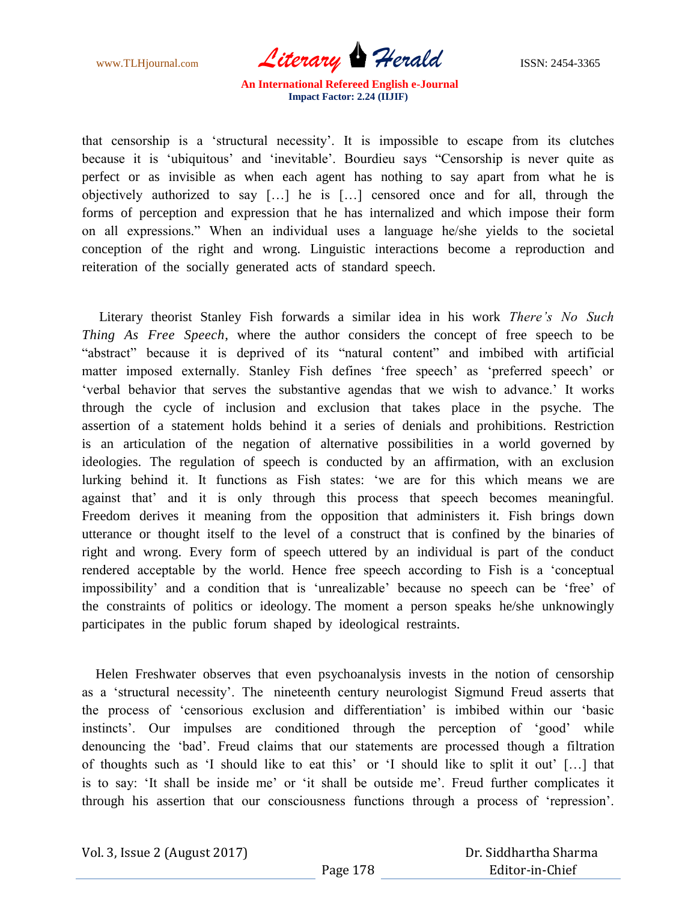www.TLHjournal.com *Literary Herald* ISSN: 2454-3365

that censorship is a "structural necessity". It is impossible to escape from its clutches because it is "ubiquitous" and "inevitable". Bourdieu says "Censorship is never quite as perfect or as invisible as when each agent has nothing to say apart from what he is objectively authorized to say […] he is […] censored once and for all, through the forms of perception and expression that he has internalized and which impose their form on all expressions." When an individual uses a language he/she yields to the societal conception of the right and wrong. Linguistic interactions become a reproduction and reiteration of the socially generated acts of standard speech.

 Literary theorist Stanley Fish forwards a similar idea in his work *There's No Such Thing As Free Speech*, where the author considers the concept of free speech to be "abstract" because it is deprived of its "natural content" and imbibed with artificial matter imposed externally. Stanley Fish defines 'free speech' as 'preferred speech' or "verbal behavior that serves the substantive agendas that we wish to advance." It works through the cycle of inclusion and exclusion that takes place in the psyche. The assertion of a statement holds behind it a series of denials and prohibitions. Restriction is an articulation of the negation of alternative possibilities in a world governed by ideologies. The regulation of speech is conducted by an affirmation, with an exclusion lurking behind it. It functions as Fish states: "we are for this which means we are against that" and it is only through this process that speech becomes meaningful. Freedom derives it meaning from the opposition that administers it. Fish brings down utterance or thought itself to the level of a construct that is confined by the binaries of right and wrong. Every form of speech uttered by an individual is part of the conduct rendered acceptable by the world. Hence free speech according to Fish is a "conceptual impossibility" and a condition that is "unrealizable" because no speech can be "free" of the constraints of politics or ideology. The moment a person speaks he/she unknowingly participates in the public forum shaped by ideological restraints.

 Helen Freshwater observes that even psychoanalysis invests in the notion of censorship as a "structural necessity". The nineteenth century neurologist Sigmund Freud asserts that the process of "censorious exclusion and differentiation" is imbibed within our "basic instincts'. Our impulses are conditioned through the perception of 'good' while denouncing the "bad". Freud claims that our statements are processed though a filtration of thoughts such as "I should like to eat this" or "I should like to split it out" […] that is to say: 'It shall be inside me' or 'it shall be outside me'. Freud further complicates it through his assertion that our consciousness functions through a process of "repression".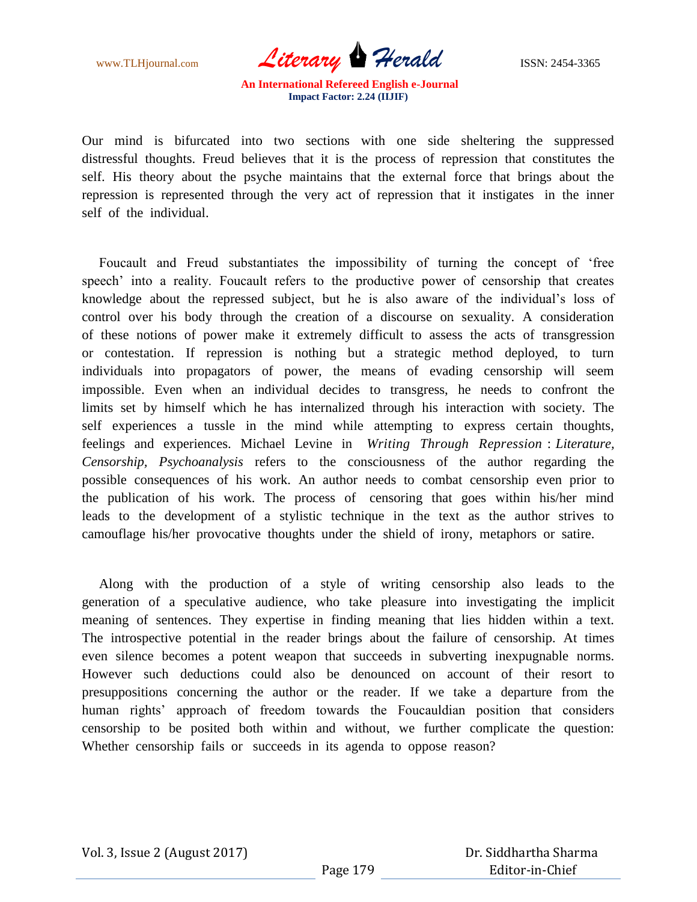www.TLHjournal.com *Literary* **Herald ISSN:** 2454-3365

Our mind is bifurcated into two sections with one side sheltering the suppressed distressful thoughts. Freud believes that it is the process of repression that constitutes the self. His theory about the psyche maintains that the external force that brings about the repression is represented through the very act of repression that it instigates in the inner self of the individual.

 Foucault and Freud substantiates the impossibility of turning the concept of "free speech' into a reality. Foucault refers to the productive power of censorship that creates knowledge about the repressed subject, but he is also aware of the individual"s loss of control over his body through the creation of a discourse on sexuality. A consideration of these notions of power make it extremely difficult to assess the acts of transgression or contestation. If repression is nothing but a strategic method deployed, to turn individuals into propagators of power, the means of evading censorship will seem impossible. Even when an individual decides to transgress, he needs to confront the limits set by himself which he has internalized through his interaction with society. The self experiences a tussle in the mind while attempting to express certain thoughts, feelings and experiences. Michael Levine in *Writing Through Repression* : *Literature, Censorship, Psychoanalysis* refers to the consciousness of the author regarding the possible consequences of his work. An author needs to combat censorship even prior to the publication of his work. The process of censoring that goes within his/her mind leads to the development of a stylistic technique in the text as the author strives to camouflage his/her provocative thoughts under the shield of irony, metaphors or satire.

 Along with the production of a style of writing censorship also leads to the generation of a speculative audience, who take pleasure into investigating the implicit meaning of sentences. They expertise in finding meaning that lies hidden within a text. The introspective potential in the reader brings about the failure of censorship. At times even silence becomes a potent weapon that succeeds in subverting inexpugnable norms. However such deductions could also be denounced on account of their resort to presuppositions concerning the author or the reader. If we take a departure from the human rights' approach of freedom towards the Foucauldian position that considers censorship to be posited both within and without, we further complicate the question: Whether censorship fails or succeeds in its agenda to oppose reason?